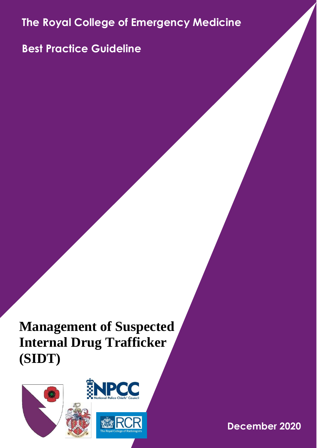**The Royal College of Emergency Medicine**

**Best Practice Guideline**

**Management of Suspected Internal Drug Trafficker (SIDT)**

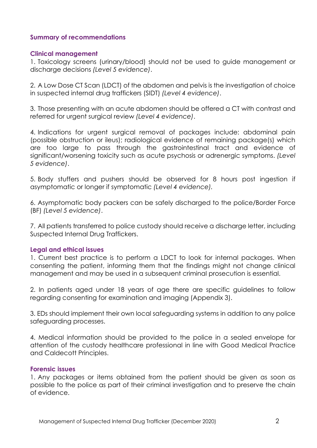# **Summary of recommendations**

### **Clinical management**

1. Toxicology screens (urinary/blood) should not be used to guide management or discharge decisions *(Level 5 evidence)*.

2. A Low Dose CT Scan (LDCT) of the abdomen and pelvis is the investigation of choice in suspected internal drug traffickers (SIDT) *(Level 4 evidence)*.

3. Those presenting with an acute abdomen should be offered a CT with contrast and referred for urgent surgical review *(Level 4 evidence)*.

4. Indications for urgent surgical removal of packages include: abdominal pain (possible obstruction or ileus); radiological evidence of remaining package(s) which are too large to pass through the gastrointestinal tract and evidence of significant/worsening toxicity such as acute psychosis or adrenergic symptoms. *(Level 5 evidence)*.

5. Body stuffers and pushers should be observed for 8 hours post ingestion if asymptomatic or longer if symptomatic *(Level 4 evidence).*

6. Asymptomatic body packers can be safely discharged to the police/Border Force (BF) *(Level 5 evidence)*.

7. All patients transferred to police custody should receive a discharge letter, including Suspected Internal Drug Traffickers.

# **Legal and ethical issues**

1. Current best practice is to perform a LDCT to look for internal packages. When consenting the patient, informing them that the findings might not change clinical management and may be used in a subsequent criminal prosecution is essential.

2. In patients aged under 18 years of age there are specific guidelines to follow regarding consenting for examination and imaging (Appendix 3).

3. EDs should implement their own local safeguarding systems in addition to any police safeguarding processes.

4. Medical information should be provided to the police in a sealed envelope for attention of the custody healthcare professional in line with Good Medical Practice and Caldecott Principles.

# **Forensic issues**

1. Any packages or items obtained from the patient should be given as soon as possible to the police as part of their criminal investigation and to preserve the chain of evidence.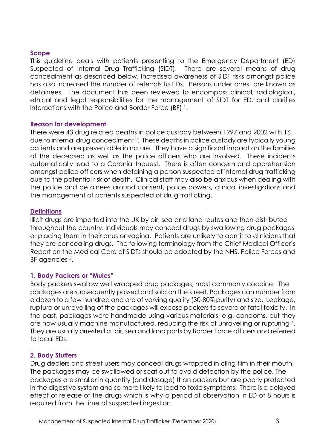### **Scope**

This guideline deals with patients presenting to the Emergency Department (ED) Suspected of Internal Drug Trafficking (SIDT). There are several means of drug concealment as described below. Increased awareness of SIDT risks amongst police has also increased the number of referrals to EDs. Persons under arrest are known as detainees. The document has been reviewed to encompass clinical, radiological, ethical and legal responsibilities for the management of SIDT for ED, and clarifies interactions with the Police and Border Force (BF) <sup>1</sup>.

### **Reason for development**

There were 43 drug related deaths in police custody between 1997 and 2002 with 16 due to internal drug concealment 2. These deaths in police custody are typically young patients and are preventable in nature. They have a significant impact on the families of the deceased as well as the police officers who are involved. These incidents automatically lead to a Coronial Inquest. There is often concern and apprehension amongst police officers when detaining a person suspected of internal drug trafficking due to the potential risk of death. Clinical staff may also be anxious when dealing with the police and detainees around consent, police powers, clinical investigations and the management of patients suspected of drug trafficking.

# **Definitions**

Illicit drugs are imported into the UK by air, sea and land routes and then distributed throughout the country. Individuals may conceal drugs by swallowing drug packages or placing them in their anus or vagina. Patients are unlikely to admit to clinicians that they are concealing drugs. The following terminology from the Chief Medical Officer's Report on the Medical Care of SIDTs should be adopted by the NHS, Police Forces and BF agencies 3.

# **1. Body Packers or "Mules"**

Body packers swallow well wrapped drug packages, most commonly cocaine. The packages are subsequently passed and sold on the street. Packages can number from a dozen to a few hundred and are of varying quality (30-80% purity) and size. Leakage, rupture or unravelling of the packages will expose packers to severe or fatal toxicity. In the past, packages were handmade using various materials, e.g. condoms, but they are now usually machine manufactured, reducing the risk of unravelling or rupturing 4. They are usually arrested at air, sea and land ports by Border Force officers and referred to local EDs.

# **2. Body Stuffers**

Drug dealers and street users may conceal drugs wrapped in cling film in their mouth. The packages may be swallowed or spat out to avoid detection by the police. The packages are smaller in quantity (and dosage) than packers but are poorly protected in the digestive system and so more likely to lead to toxic symptoms. There is a delayed effect of release of the drugs which is why a period of observation in ED of 8 hours is required from the time of suspected ingestion.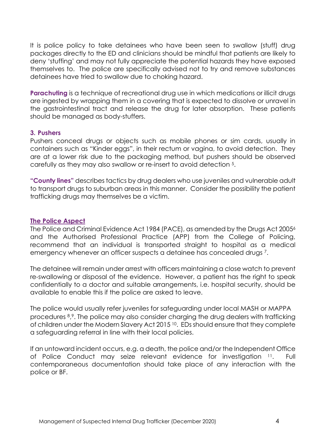It is police policy to take detainees who have been seen to swallow (stuff) drug packages directly to the ED and clinicians should be mindful that patients are likely to deny 'stuffing' and may not fully appreciate the potential hazards they have exposed themselves to. The police are specifically advised not to try and remove substances detainees have tried to swallow due to choking hazard.

**Parachuting** is a technique of recreational drug use in which medications or illicit drugs are ingested by wrapping them in a covering that is expected to dissolve or unravel in the gastrointestinal tract and release the drug for later absorption. These patients should be managed as body-stuffers.

### **3. Pushers**

Pushers conceal drugs or objects such as mobile phones or sim cards, usually in containers such as "Kinder eggs", in their rectum or vagina, to avoid detection. They are at a lower risk due to the packaging method, but pushers should be observed carefully as they may also swallow or re-insert to avoid detection 5.

**"County lines"** describes tactics by drug dealers who use juveniles and vulnerable adult to transport drugs to suburban areas in this manner. Consider the possibility the patient trafficking drugs may themselves be a victim.

# **The Police Aspect**

The Police and Criminal Evidence Act 1984 (PACE), as amended by the Drugs Act 2005<sup>6</sup> and the Authorised Professional Practice (APP) from the College of Policing, recommend that an individual is transported straight to hospital as a medical emergency whenever an officer suspects a detainee has concealed drugs 7.

The detainee will remain under arrest with officers maintaining a close watch to prevent re-swallowing or disposal of the evidence. However, a patient has the right to speak confidentially to a doctor and suitable arrangements, i.e. hospital security, should be available to enable this if the police are asked to leave.

The police would usually refer juveniles for safeguarding under local MASH or MAPPA procedures 8, <sup>9</sup>. The police may also consider charging the drug dealers with trafficking of children under the Modern Slavery Act 2015 10. EDs should ensure that they complete a safeguarding referral in line with their local policies.

If an untoward incident occurs, e.g. a death, the police and/or the Independent Office of Police Conduct may seize relevant evidence for investigation <sup>11</sup>. Full contemporaneous documentation should take place of any interaction with the police or BF.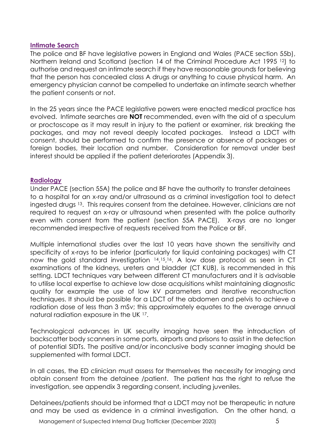# **Intimate Search**

The police and BF have legislative powers in England and Wales (PACE section 55b), Northern Ireland and Scotland (section 14 of the Criminal Procedure Act 1995<sup>12</sup>) to authorise and request an intimate search if they have reasonable grounds for believing that the person has concealed class A drugs or anything to cause physical harm. An emergency physician cannot be compelled to undertake an intimate search whether the patient consents or not.

In the 25 years since the PACE legislative powers were enacted medical practice has evolved. Intimate searches are **NOT** recommended, even with the aid of a speculum or proctoscope as it may result in injury to the patient or examiner, risk breaking the packages, and may not reveal deeply located packages. Instead a LDCT with consent, should be performed to confirm the presence or absence of packages or foreign bodies, their location and number. Consideration for removal under best interest should be applied if the patient deteriorates (Appendix 3).

# **Radiology**

Under PACE (section 55A) the police and BF have the authority to transfer detainees to a hospital for an x-ray and/or ultrasound as a criminal investigation tool to detect ingested drugs <sup>13</sup>. This requires consent from the detainee. However, clinicians are not required to request an x-ray or ultrasound when presented with the police authority even with consent from the patient (section 55A PACE). X-rays are no longer recommended irrespective of requests received from the Police or BF.

Multiple international studies over the last 10 years have shown the sensitivity and specificity of x-rays to be inferior (particularly for liquid containing packages) with CT now the gold standard investigation 14, <sup>15</sup>, <sup>16</sup>. A low dose protocol as seen in CT examinations of the kidneys, ureters and bladder (CT KUB), is recommended in this setting. LDCT techniques vary between different CT manufacturers and it is advisable to utilise local expertise to achieve low dose acquisitions whilst maintaining diagnostic quality for example the use of low kV parameters and iterative reconstruction techniques. It should be possible for a LDCT of the abdomen and pelvis to achieve a radiation dose of less than 3 mSv; this approximately equates to the average annual natural radiation exposure in the UK 17.

Technological advances in UK security imaging have seen the introduction of backscatter body scanners in some ports, airports and prisons to assist in the detection of potential SIDTs. The positive and/or inconclusive body scanner imaging should be supplemented with formal LDCT.

In all cases, the ED clinician must assess for themselves the necessity for imaging and obtain consent from the detainee /patient. The patient has the right to refuse the investigation, see appendix 3 regarding consent, including juveniles.

Detainees/patients should be informed that a LDCT may not be therapeutic in nature and may be used as evidence in a criminal investigation. On the other hand, a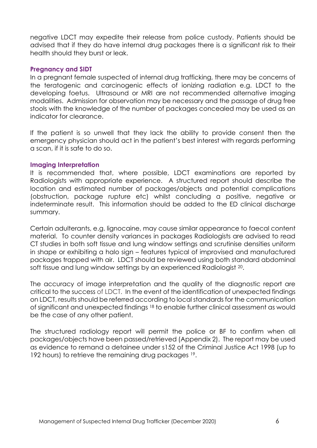negative LDCT may expedite their release from police custody. Patients should be advised that if they do have internal drug packages there is a significant risk to their health should they burst or leak.

### **Pregnancy and SIDT**

In a pregnant female suspected of internal drug trafficking, there may be concerns of the teratogenic and carcinogenic effects of ionizing radiation e.g. LDCT to the developing foetus. Ultrasound or MRI are not recommended alternative imaging modalities. Admission for observation may be necessary and the passage of drug free stools with the knowledge of the number of packages concealed may be used as an indicator for clearance.

If the patient is so unwell that they lack the ability to provide consent then the emergency physician should act in the patient's best interest with regards performing a scan, if it is safe to do so.

### **Imaging Interpretation**

It is recommended that, where possible, LDCT examinations are reported by Radiologists with appropriate experience. A structured report should describe the location and estimated number of packages/objects and potential complications (obstruction, package rupture etc) whilst concluding a positive, negative or indeterminate result. This information should be added to the ED clinical discharge summary.

Certain adulterants, e.g. lignocaine, may cause similar appearance to faecal content material. To counter density variances in packages Radiologists are advised to read CT studies in both soft tissue and lung window settings and scrutinise densities uniform in shape or exhibiting a halo sign – features typical of improvised and manufactured packages trapped with air. LDCT should be reviewed using both standard abdominal soft tissue and lung window settings by an experienced Radiologist 20.

The accuracy of image interpretation and the quality of the diagnostic report are critical to the success of LDCT. In the event of the identification of unexpected findings on LDCT, results should be referred according to local standards for the communication of significant and unexpected findings <sup>18</sup> to enable further clinical assessment as would be the case of any other patient.

The structured radiology report will permit the police or BF to confirm when all packages/objects have been passed/retrieved (Appendix 2). The report may be used as evidence to remand a detainee under s152 of the Criminal Justice Act 1998 (up to 192 hours) to retrieve the remaining drug packages <sup>19</sup>.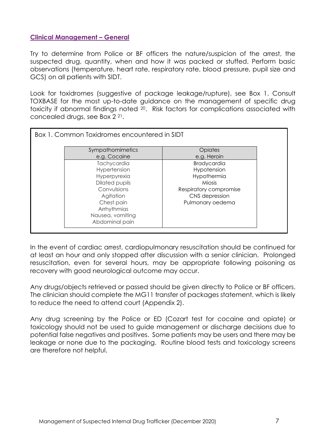# **Clinical Management – General**

Try to determine from Police or BF officers the nature/suspicion of the arrest, the suspected drug, quantity, when and how it was packed or stuffed. Perform basic observations (temperature, heart rate, respiratory rate, blood pressure, pupil size and GCS) on all patients with SIDT.

Look for toxidromes (suggestive of package leakage/rupture), see Box 1. Consult TOXBASE for the most up-to-date guidance on the management of specific drug toxicity if abnormal findings noted 20. Risk factors for complications associated with concealed drugs, see Box 2 21.

| Box 1. Common Toxidromes encountered in SIDT |                        |
|----------------------------------------------|------------------------|
| Sympathomimetics                             | Opiates                |
| e.g. Cocaine                                 | e.g. Heroin            |
| Tachycardia                                  | <b>Bradycardia</b>     |
| Hypertension                                 | Hypotension            |
| Hyperpyrexia                                 | Hypothermia            |
| Dilated pupils                               | <b>Miosis</b>          |
| Convulsions                                  | Respiratory compromise |
| Agitation                                    | CNS depression         |
| Chest pain                                   | Pulmonary oedema       |
| Arrhythmias                                  |                        |
| Nausea, vomiting                             |                        |
| Abdominal pain                               |                        |

In the event of cardiac arrest, cardiopulmonary resuscitation should be continued for at least an hour and only stopped after discussion with a senior clinician. Prolonged resuscitation, even for several hours, may be appropriate following poisoning as recovery with good neurological outcome may occur.

Any drugs/objects retrieved or passed should be given directly to Police or BF officers. The clinician should complete the MG11 transfer of packages statement, which is likely to reduce the need to attend court (Appendix 2).

Any drug screening by the Police or ED (Cozart test for cocaine and opiate) or toxicology should not be used to guide management or discharge decisions due to potential false negatives and positives. Some patients may be users and there may be leakage or none due to the packaging. Routine blood tests and toxicology screens are therefore not helpful.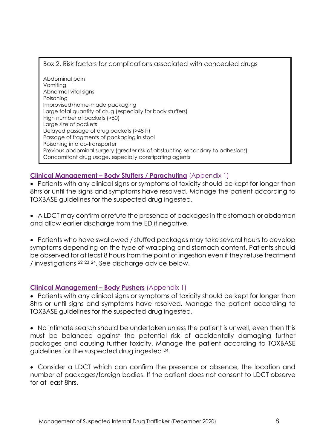# Box 2. Risk factors for complications associated with concealed drugs

Abdominal pain Vomiting Abnormal vital signs Poisoning Improvised/home-made packaging Large total quantity of drug (especially for body stuffers) High number of packets (>50) Large size of packets Delayed passage of drug packets (>48 h) Passage of fragments of packaging in stool Poisoning in a co-transporter Previous abdominal surgery (greater risk of obstructing secondary to adhesions) Concomitant drug usage, especially constipating agents

# **Clinical Management – Body Stuffers / Parachuting** (Appendix 1)

• Patients with any clinical signs or symptoms of toxicity should be kept for longer than 8hrs or until the signs and symptoms have resolved. Manage the patient according to TOXBASE guidelines for the suspected drug ingested.

• A LDCT may confirm or refute the presence of packages in the stomach or abdomen and allow earlier discharge from the ED if negative.

• Patients who have swallowed / stuffed packages may take several hours to develop symptoms depending on the type of wrapping and stomach content. Patients should be observed for at least 8 hours from the point of ingestion even if they refuse treatment / investigations <sup>22</sup> <sup>23</sup> <sup>24</sup>. See discharge advice below.

# **Clinical Management – Body Pushers** (Appendix 1)

• Patients with any clinical sians or symptoms of toxicity should be kept for longer than 8hrs or until signs and symptoms have resolved. Manage the patient according to TOXBASE guidelines for the suspected drug ingested.

• No intimate search should be undertaken unless the patient is unwell, even then this must be balanced against the potential risk of accidentally damaging further packages and causing further toxicity. Manage the patient according to TOXBASE guidelines for the suspected drug ingested 24.

• Consider a LDCT which can confirm the presence or absence, the location and number of packages/foreign bodies. If the patient does not consent to LDCT observe for at least 8hrs.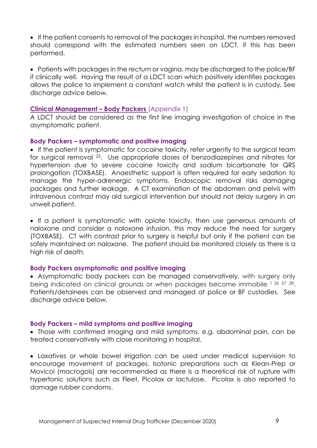• If the patient consents to removal of the packages in hospital, the numbers removed should correspond with the estimated numbers seen on LDCT, if this has been performed.

• Patients with packages in the rectum or vagina, may be discharged to the police/BF if clinically well. Having the result of a LDCT scan which positively identifies packages allows the police to implement a constant watch whilst the patient is in custody. See discharge advice below.

# **Clinical Management – Body Packers** (Appendix 1)

A LDCT should be considered as the first line imaging investigation of choice in the asymptomatic patient.

### **Body Packers – symptomatic and positive imaging**

• If the patient is symptomatic for cocaine toxicity, refer urgently to the surgical team for surgical removal <sup>25</sup>. Use appropriate doses of benzodiazepines and nitrates for hypertension due to severe cocaine toxicity and sodium bicarbonate for QRS prolongation (TOXBASE). Anaesthetic support is often required for early sedation to manage the hyper-adrenergic symptoms. Endoscopic removal risks damaging packages and further leakage. A CT examination of the abdomen and pelvis with intravenous contrast may aid surgical intervention but should not delay surgery in an unwell patient.

• If a patient is symptomatic with opiate toxicity, then use generous amounts of naloxone and consider a naloxone infusion, this may reduce the need for surgery (TOXBASE). CT with contrast prior to surgery is helpful but only if the patient can be safely maintained on naloxone. The patient should be monitored closely as there is a high risk of death.

# **Body Packers asymptomatic and positive imaging**

• Asymptomatic body packers can be managed conservatively, with surgery only being indicated on clinical grounds or when packages become immobile 1 26 27 28. Patients/detainees can be observed and managed at police or BF custodies. See discharge advice below.

#### **Body Packers – mild symptoms and positive imaging**

• Those with confirmed imaging and mild symptoms, e.g. abdominal pain, can be treated conservatively with close monitoring in hospital.

• Laxatives or whole bowel irrigation can be used under medical supervision to encourage movement of packages. Isotonic preparations such as Klean-Prep or Movicol (macrogols) are recommended as there is a theoretical risk of rupture with hypertonic solutions such as Fleet, Picolax or lactulose. Picolax is also reported to damage rubber condoms.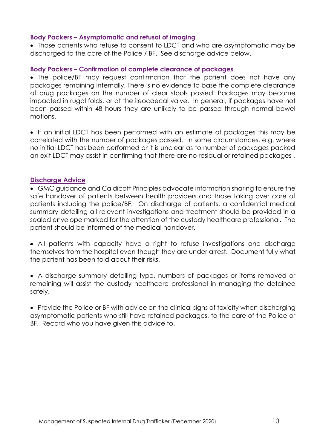### **Body Packers – Asymptomatic and refusal of imaging**

• Those patients who refuse to consent to LDCT and who are asymptomatic may be discharged to the care of the Police / BF. See discharge advice below.

### **Body Packers – Confirmation of complete clearance of packages**

• The police/BF may request confirmation that the patient does not have any packages remaining internally. There is no evidence to base the complete clearance of drug packages on the number of clear stools passed. Packages may become impacted in rugal folds, or at the ileocaecal valve. In general, if packages have not been passed within 48 hours they are unlikely to be passed through normal bowel motions.

• If an initial LDCT has been performed with an estimate of packages this may be correlated with the number of packages passed. In some circumstances, e.g. where no initial LDCT has been performed or it is unclear as to number of packages packed an exit LDCT may assist in confirming that there are no residual or retained packages .

#### **Discharge Advice**

• GMC guidance and Caldicott Principles advocate information sharing to ensure the safe handover of patients between health providers and those taking over care of patients including the police/BF. On discharge of patients, a confidential medical summary detailing all relevant investigations and treatment should be provided in a sealed envelope marked for the attention of the custody healthcare professional. The patient should be informed of the medical handover.

• All patients with capacity have a right to refuse investigations and discharge themselves from the hospital even though they are under arrest. Document fully what the patient has been told about their risks.

• A discharge summary detailing type, numbers of packages or items removed or remaining will assist the custody healthcare professional in managing the detainee safely.

• Provide the Police or BF with advice on the clinical signs of toxicity when discharging asymptomatic patients who still have retained packages, to the care of the Police or BF. Record who you have given this advice to.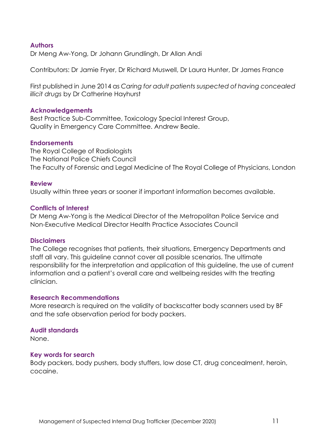### **Authors**

Dr Meng Aw-Yong, Dr Johann Grundlingh, Dr Allan Andi

Contributors: Dr Jamie Fryer, Dr Richard Muswell, Dr Laura Hunter, Dr James France

First published in June 2014 as *Caring for adult patients suspected of having concealed illicit drugs* by Dr Catherine Hayhurst

#### **Acknowledgements**

Best Practice Sub-Committee, Toxicology Special Interest Group, Quality in Emergency Care Committee. Andrew Beale.

#### **Endorsements**

The Royal College of Radiologists The National Police Chiefs Council The Faculty of Forensic and Legal Medicine of The Royal College of Physicians, London

#### **Review**

Usually within three years or sooner if important information becomes available.

#### **Conflicts of Interest**

Dr Meng Aw-Yong is the Medical Director of the Metropolitan Police Service and Non-Executive Medical Director Health Practice Associates Council

#### **Disclaimers**

The College recognises that patients, their situations, Emergency Departments and staff all vary. This guideline cannot cover all possible scenarios. The ultimate responsibility for the interpretation and application of this guideline, the use of current information and a patient's overall care and wellbeing resides with the treating clinician.

#### **Research Recommendations**

More research is required on the validity of backscatter body scanners used by BF and the safe observation period for body packers.

#### **Audit standards**

None.

#### **Key words for search**

Body packers, body pushers, body stuffers, low dose CT, drug concealment, heroin, cocaine.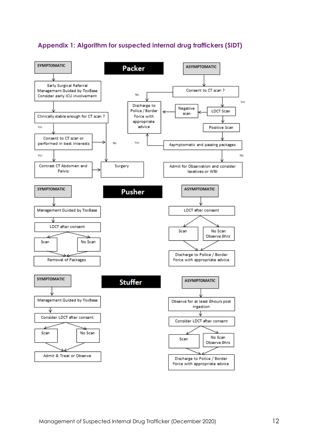# **Appendix 1: Algorithm for suspected internal drug traffickers (SIDT)**

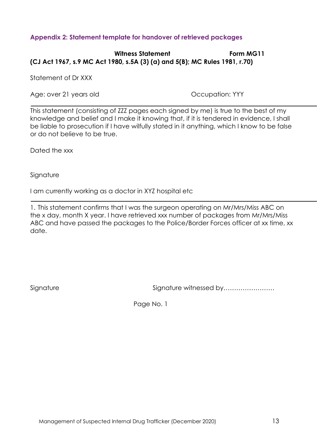# **Appendix 2: Statement template for handover of retrieved packages**

# Witness Statement **Form MG11 (CJ Act 1967, s.9 MC Act 1980, s.5A (3) (a) and 5(B); MC Rules 1981, r.70)**

Statement of Dr XXX

Age: over 21 years old Occupation: YYY

This statement (consisting of ZZZ pages each signed by me) is true to the best of my knowledge and belief and I make it knowing that, if it is tendered in evidence, I shall be liable to prosecution if I have wilfully stated in it anything, which I know to be false or do not believe to be true.

Dated the xxx

Signature

I am currently working as a doctor in XYZ hospital etc

1. This statement confirms that I was the surgeon operating on Mr/Mrs/Miss ABC on the x day, month X year. I have retrieved xxx number of packages from Mr/Mrs/Miss ABC and have passed the packages to the Police/Border Forces officer at xx time, xx date.

Signature Signature witnessed by……………………

Page No. 1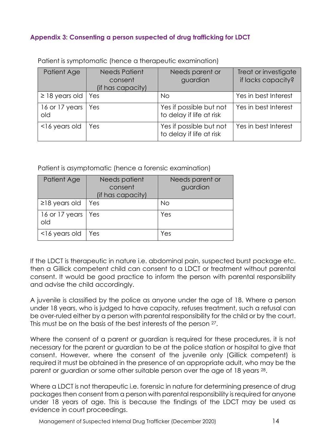# **Appendix 3: Consenting a person suspected of drug trafficking for LDCT**

| Patient Age               | <b>Needs Patient</b><br>consent<br>(if has capacity) | Needs parent or<br>guardian                         | Treat or investigate<br>if lacks capacity? |
|---------------------------|------------------------------------------------------|-----------------------------------------------------|--------------------------------------------|
| $\ge$ 18 years old $\mid$ | Yes                                                  | No                                                  | Yes in best Interest                       |
| 16 or 17 years<br>old     | Yes                                                  | Yes if possible but not<br>to delay if life at risk | Yes in best Interest                       |
| <16 years old             | Yes                                                  | Yes if possible but not<br>to delay if life at risk | Yes in best Interest                       |

Patient is symptomatic (hence a therapeutic examination)

Patient is asymptomatic (hence a forensic examination)

| Patient Age                 | Needs patient<br>consent<br>(if has capacity) | Needs parent or<br>guardian |
|-----------------------------|-----------------------------------------------|-----------------------------|
| $\ge$ 18 years old          | Yes                                           | <b>No</b>                   |
| 16 or 17 years   Yes<br>old |                                               | Yes                         |
| $16$ years old              | Yes                                           | Yes                         |

If the LDCT is therapeutic in nature i.e. abdominal pain, suspected burst package etc. then a Gillick competent child can consent to a LDCT or treatment without parental consent. It would be good practice to inform the person with parental responsibility and advise the child accordingly.

A juvenile is classified by the police as anyone under the age of 18. Where a person under 18 years, who is judged to have capacity, refuses treatment, such a refusal can be over-ruled either by a person with parental responsibility for the child or by the court. This must be on the basis of the best interests of the person 27.

Where the consent of a parent or guardian is required for these procedures, it is not necessary for the parent or guardian to be at the police station or hospital to give that consent. However, where the consent of the juvenile only (Gillick competent) is required it must be obtained in the presence of an appropriate adult, who may be the parent or guardian or some other suitable person over the age of 18 years 28.

Where a LDCT is not therapeutic i.e. forensic in nature for determining presence of drug packages then consent from a person with parental responsibility is required for anyone under 18 years of age. This is because the findings of the LDCT may be used as evidence in court proceedings.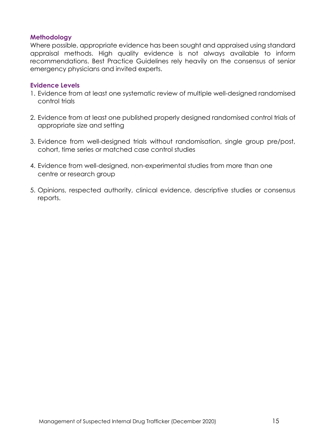### **Methodology**

Where possible, appropriate evidence has been sought and appraised using standard appraisal methods. High quality evidence is not always available to inform recommendations. Best Practice Guidelines rely heavily on the consensus of senior emergency physicians and invited experts.

#### **Evidence Levels**

- 1. Evidence from at least one systematic review of multiple well-designed randomised control trials
- 2. Evidence from at least one published properly designed randomised control trials of appropriate size and setting
- 3. Evidence from well-designed trials without randomisation, single group pre/post, cohort, time series or matched case control studies
- 4. Evidence from well-designed, non-experimental studies from more than one centre or research group
- 5. Opinions, respected authority, clinical evidence, descriptive studies or consensus reports.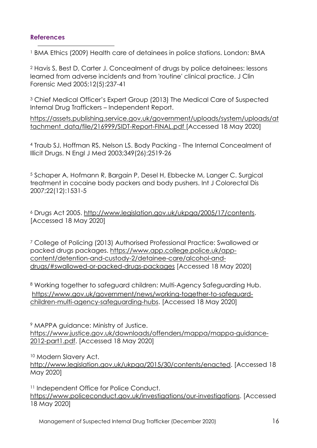# **References**

<sup>1</sup> BMA Ethics (2009) Health care of detainees in police stations. London: BMA

<sup>2</sup> Havis S, Best D, Carter J. Concealment of drugs by police detainees: lessons learned from adverse incidents and from 'routine' clinical practice. J Clin Forensic Med 2005;12(5):237-41

<sup>3</sup> Chief Medical Officer's Expert Group (2013) The Medical Care of Suspected Internal Drug Traffickers – Independent Report.

[https://assets.publishing.service.gov.uk/government/uploads/system/uploads/at](about:blank) [tachment\\_data/file/216999/SIDT-Report-FINAL.pdf](about:blank) [Accessed 18 May 2020]

<sup>4</sup> Traub SJ, Hoffman RS, Nelson LS. Body Packing - The Internal Concealment of Illicit Drugs. N Engl J Med 2003;349(26):2519-26

<sup>5</sup> Schaper A, Hofmann R, Bargain P, Desel H, Ebbecke M, Langer C. Surgical treatment in cocaine body packers and body pushers. Int J Colorectal Dis 2007;22(12):1531-5

<sup>6</sup> Drugs Act 2005. [http://www.legislation.gov.uk/ukpga/2005/17/contents.](http://www.legislation.gov.uk/ukpga/2005/17/contents) [Accessed 18 May 2020]

<sup>7</sup> College of Policing (2013) Authorised Professional Practice: Swallowed or packed drugs packages. [https://www.app.college.police.uk/app](https://www.app.college.police.uk/app-content/detention-and-custody-2/detainee-care/alcohol-and-drugs/#swallowed-or-packed-drugs-packages)[content/detention-and-custody-2/detainee-care/alcohol-and](https://www.app.college.police.uk/app-content/detention-and-custody-2/detainee-care/alcohol-and-drugs/#swallowed-or-packed-drugs-packages)[drugs/#swallowed-or-packed-drugs-packages](https://www.app.college.police.uk/app-content/detention-and-custody-2/detainee-care/alcohol-and-drugs/#swallowed-or-packed-drugs-packages) [Accessed 18 May 2020]

8 Working together to safeguard children: Multi-Agency Safeguarding Hub. [https://www.gov.uk/government/news/working-together-to-safeguard](about:blank)[children-multi-agency-safeguarding-hubs.](about:blank) [Accessed 18 May 2020]

<sup>9</sup> MAPPA guidance: Ministry of Justice. [https://www.justice.gov.uk/downloads/offenders/mappa/mappa-guidance-](https://www.justice.gov.uk/downloads/offenders/mappa/mappa-guidance-2012-part1.pdf)[2012-part1.pdf.](https://www.justice.gov.uk/downloads/offenders/mappa/mappa-guidance-2012-part1.pdf) [Accessed 18 May 2020]

<sup>10</sup> Modern Slavery Act.

[http://www.legislation.gov.uk/ukpga/2015/30/contents/enacted.](about:blank) [Accessed 18 May 2020]

<sup>11</sup> Independent Office for Police Conduct. [https://www.policeconduct.gov.uk/investigations/our-investigations.](about:blank) [Accessed 18 May 2020]

Management of Suspected Internal Drug Trafficker (December 2020) 16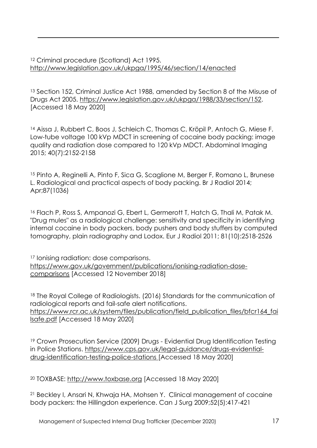<sup>12</sup> Criminal procedure (Scotland) Act 1995. [http://www.legislation.gov.uk/ukpga/1995/46/section/14/enacted](about:blank)

<sup>13</sup> Section 152, Criminal Justice Act 1988, amended by Section 8 of the Misuse of Drugs Act 2005. [https://www.legislation.gov.uk/ukpga/1988/33/section/152.](https://www.legislation.gov.uk/ukpga/1988/33/section/152) [Accessed 18 May 2020]

<sup>14</sup> Aissa J, Rubbert C, Boos J, Schleich C, Thomas C, Kröpil P, Antoch G, Miese F. Low-tube voltage 100 kVp MDCT in screening of cocaine body packing: image quality and radiation dose compared to 120 kVp MDCT. Abdominal Imaging 2015; 40(7):2152-2158

<sup>15</sup> Pinto A, Reginelli A, Pinto F, Sica G, Scaglione M, Berger F, Romano L, Brunese L. Radiological and practical aspects of body packing. Br J Radiol 2014; Apr;87(1036)

<sup>16</sup> Flach P, Ross S, Ampanozi G, Ebert L, Germerott T, Hatch G, Thali M, Patak M. "Drug mules" as a radiological challenge: sensitivity and specificity in identifying internal cocaine in body packers, body pushers and body stuffers by computed tomography, plain radiography and Lodox. Eur J Radiol 2011; 81(10):2518-2526

<sup>17</sup> Ionising radiation: dose comparisons. [https://www.gov.uk/government/publications/ionising-radiation-dose](https://www.gov.uk/government/publications/ionising-radiation-dose-comparisons)[comparisons](https://www.gov.uk/government/publications/ionising-radiation-dose-comparisons) [Accessed 12 November 2018]

<sup>18</sup> The Royal College of Radiologists. (2016) Standards for the communication of radiological reports and fail-safe alert notifications. [https://www.rcr.ac.uk/system/files/publication/field\\_publication\\_files/bfcr164\\_fai](about:blank) [lsafe.pdf](about:blank) [Accessed 18 May 2020]

<sup>19</sup> Crown Prosecution Service (2009) Drugs - Evidential Drug Identification Testing in Police Stations. [https://www.cps.gov.uk/legal-guidance/drugs-evidential](https://www.cps.gov.uk/legal-guidance/drugs-evidential-drug-identification-testing-police-stations)[drug-identification-testing-police-stations](https://www.cps.gov.uk/legal-guidance/drugs-evidential-drug-identification-testing-police-stations) [Accessed 18 May 2020]

<sup>20</sup> TOXBASE: [http://www.toxbase.org](about:blank) [Accessed 18 May 2020]

<sup>21</sup> Beckley I, Ansari N, Khwaja HA, Mohsen Y. Clinical management of cocaine body packers: the Hillingdon experience. Can J Surg 2009;52(5):417-421